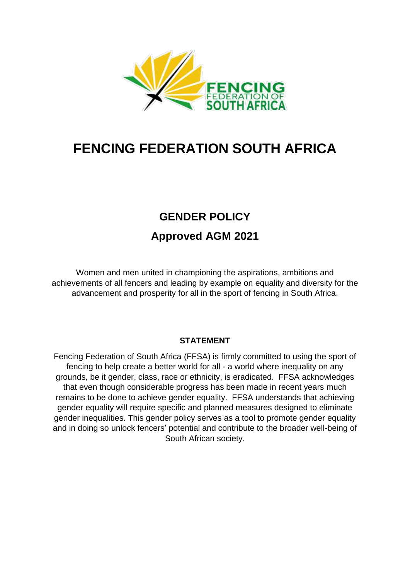

# **FENCING FEDERATION SOUTH AFRICA**

## **GENDER POLICY Approved AGM 2021**

Women and men united in championing the aspirations, ambitions and achievements of all fencers and leading by example on equality and diversity for the advancement and prosperity for all in the sport of fencing in South Africa.

#### **STATEMENT**

Fencing Federation of South Africa (FFSA) is firmly committed to using the sport of fencing to help create a better world for all - a world where inequality on any grounds, be it gender, class, race or ethnicity, is eradicated. FFSA acknowledges that even though considerable progress has been made in recent years much remains to be done to achieve gender equality. FFSA understands that achieving gender equality will require specific and planned measures designed to eliminate gender inequalities. This gender policy serves as a tool to promote gender equality and in doing so unlock fencers' potential and contribute to the broader well-being of South African society.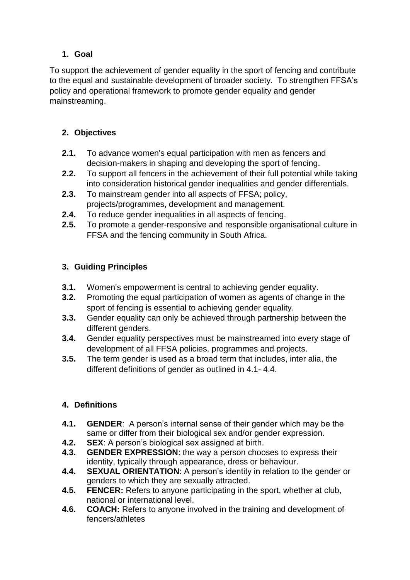## **1. Goal**

To support the achievement of gender equality in the sport of fencing and contribute to the equal and sustainable development of broader society. To strengthen FFSA's policy and operational framework to promote gender equality and gender mainstreaming.

## **2. Objectives**

- **2.1.** To advance women's equal participation with men as fencers and decision-makers in shaping and developing the sport of fencing.
- **2.2.** To support all fencers in the achievement of their full potential while taking into consideration historical gender inequalities and gender differentials.
- **2.3.** To mainstream gender into all aspects of FFSA; policy, projects/programmes, development and management.
- **2.4.** To reduce gender inequalities in all aspects of fencing.
- **2.5.** To promote a gender-responsive and responsible organisational culture in FFSA and the fencing community in South Africa.

## **3. Guiding Principles**

- **3.1.** Women's empowerment is central to achieving gender equality.
- **3.2.** Promoting the equal participation of women as agents of change in the sport of fencing is essential to achieving gender equality.
- **3.3.** Gender equality can only be achieved through partnership between the different genders.
- **3.4.** Gender equality perspectives must be mainstreamed into every stage of development of all FFSA policies, programmes and projects.
- **3.5.** The term gender is used as a broad term that includes, inter alia, the different definitions of gender as outlined in 4.1- 4.4.

## **4. Definitions**

- **4.1. GENDER**: A person's internal sense of their gender which may be the same or differ from their biological sex and/or gender expression.
- **4.2. SEX**: A person's biological sex assigned at birth.
- **4.3. GENDER EXPRESSION**: the way a person chooses to express their identity, typically through appearance, dress or behaviour.
- **4.4. SEXUAL ORIENTATION**: A person's identity in relation to the gender or genders to which they are sexually attracted.
- **4.5. FENCER:** Refers to anyone participating in the sport, whether at club, national or international level.
- **4.6. COACH:** Refers to anyone involved in the training and development of fencers/athletes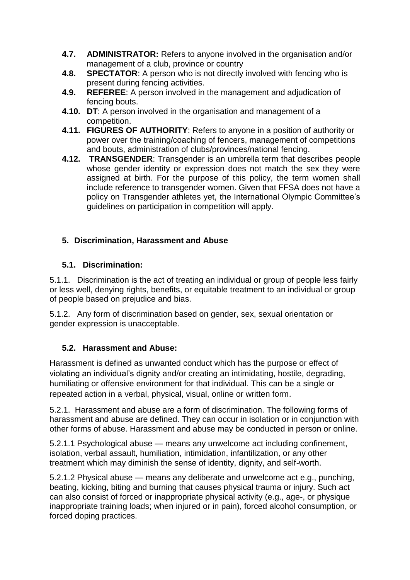- **4.7. ADMINISTRATOR:** Refers to anyone involved in the organisation and/or management of a club, province or country
- **4.8. SPECTATOR**: A person who is not directly involved with fencing who is present during fencing activities.
- **4.9. REFEREE**: A person involved in the management and adjudication of fencing bouts.
- **4.10. DT**: A person involved in the organisation and management of a competition.
- **4.11. FIGURES OF AUTHORITY**: Refers to anyone in a position of authority or power over the training/coaching of fencers, management of competitions and bouts, administration of clubs/provinces/national fencing.
- **4.12. TRANSGENDER**: Transgender is an umbrella term that describes people whose gender identity or expression does not match the sex they were assigned at birth. For the purpose of this policy, the term women shall include reference to transgender women. Given that FFSA does not have a policy on Transgender athletes yet, the International Olympic Committee's guidelines on participation in competition will apply.

#### **5. Discrimination, Harassment and Abuse**

#### **5.1. Discrimination:**

5.1.1. Discrimination is the act of treating an individual or group of people less fairly or less well, denying rights, benefits, or equitable treatment to an individual or group of people based on prejudice and bias.

5.1.2. Any form of discrimination based on gender, sex, sexual orientation or gender expression is unacceptable.

#### **5.2. Harassment and Abuse:**

Harassment is defined as unwanted conduct which has the purpose or effect of violating an individual's dignity and/or creating an intimidating, hostile, degrading, humiliating or offensive environment for that individual. This can be a single or repeated action in a verbal, physical, visual, online or written form.

5.2.1. Harassment and abuse are a form of discrimination. The following forms of harassment and abuse are defined. They can occur in isolation or in conjunction with other forms of abuse. Harassment and abuse may be conducted in person or online.

5.2.1.1 Psychological abuse — means any unwelcome act including confinement, isolation, verbal assault, humiliation, intimidation, infantilization, or any other treatment which may diminish the sense of identity, dignity, and self-worth.

5.2.1.2 Physical abuse — means any deliberate and unwelcome act e.g., punching, beating, kicking, biting and burning that causes physical trauma or injury. Such act can also consist of forced or inappropriate physical activity (e.g., age-, or physique inappropriate training loads; when injured or in pain), forced alcohol consumption, or forced doping practices.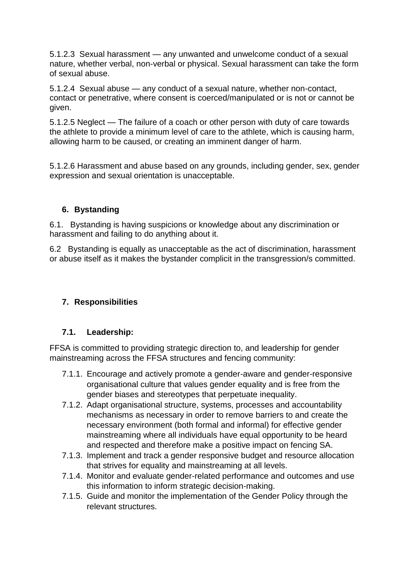5.1.2.3 Sexual harassment — any unwanted and unwelcome conduct of a sexual nature, whether verbal, non-verbal or physical. Sexual harassment can take the form of sexual abuse.

5.1.2.4 Sexual abuse — any conduct of a sexual nature, whether non-contact, contact or penetrative, where consent is coerced/manipulated or is not or cannot be given.

5.1.2.5 Neglect — The failure of a coach or other person with duty of care towards the athlete to provide a minimum level of care to the athlete, which is causing harm, allowing harm to be caused, or creating an imminent danger of harm.

5.1.2.6 Harassment and abuse based on any grounds, including gender, sex, gender expression and sexual orientation is unacceptable.

#### **6. Bystanding**

6.1. Bystanding is having suspicions or knowledge about any discrimination or harassment and failing to do anything about it.

6.2 Bystanding is equally as unacceptable as the act of discrimination, harassment or abuse itself as it makes the bystander complicit in the transgression/s committed.

#### **7. Responsibilities**

#### **7.1. Leadership:**

FFSA is committed to providing strategic direction to, and leadership for gender mainstreaming across the FFSA structures and fencing community:

- 7.1.1. Encourage and actively promote a gender-aware and gender-responsive organisational culture that values gender equality and is free from the gender biases and stereotypes that perpetuate inequality.
- 7.1.2. Adapt organisational structure, systems, processes and accountability mechanisms as necessary in order to remove barriers to and create the necessary environment (both formal and informal) for effective gender mainstreaming where all individuals have equal opportunity to be heard and respected and therefore make a positive impact on fencing SA.
- 7.1.3. Implement and track a gender responsive budget and resource allocation that strives for equality and mainstreaming at all levels.
- 7.1.4. Monitor and evaluate gender-related performance and outcomes and use this information to inform strategic decision-making.
- 7.1.5. Guide and monitor the implementation of the Gender Policy through the relevant structures.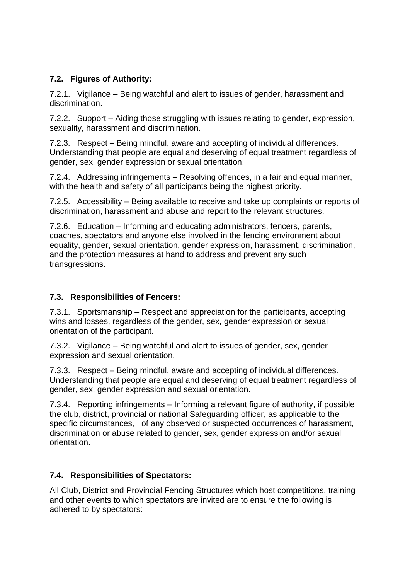#### **7.2. Figures of Authority:**

7.2.1. Vigilance – Being watchful and alert to issues of gender, harassment and discrimination.

7.2.2. Support – Aiding those struggling with issues relating to gender, expression, sexuality, harassment and discrimination.

7.2.3. Respect – Being mindful, aware and accepting of individual differences. Understanding that people are equal and deserving of equal treatment regardless of gender, sex, gender expression or sexual orientation.

7.2.4. Addressing infringements – Resolving offences, in a fair and equal manner, with the health and safety of all participants being the highest priority.

7.2.5. Accessibility – Being available to receive and take up complaints or reports of discrimination, harassment and abuse and report to the relevant structures.

7.2.6. Education – Informing and educating administrators, fencers, parents, coaches, spectators and anyone else involved in the fencing environment about equality, gender, sexual orientation, gender expression, harassment, discrimination, and the protection measures at hand to address and prevent any such transgressions.

#### **7.3. Responsibilities of Fencers:**

7.3.1. Sportsmanship – Respect and appreciation for the participants, accepting wins and losses, regardless of the gender, sex, gender expression or sexual orientation of the participant.

7.3.2. Vigilance – Being watchful and alert to issues of gender, sex, gender expression and sexual orientation.

7.3.3. Respect – Being mindful, aware and accepting of individual differences. Understanding that people are equal and deserving of equal treatment regardless of gender, sex, gender expression and sexual orientation.

7.3.4. Reporting infringements – Informing a relevant figure of authority, if possible the club, district, provincial or national Safeguarding officer, as applicable to the specific circumstances, of any observed or suspected occurrences of harassment, discrimination or abuse related to gender, sex, gender expression and/or sexual orientation.

#### **7.4. Responsibilities of Spectators:**

All Club, District and Provincial Fencing Structures which host competitions, training and other events to which spectators are invited are to ensure the following is adhered to by spectators: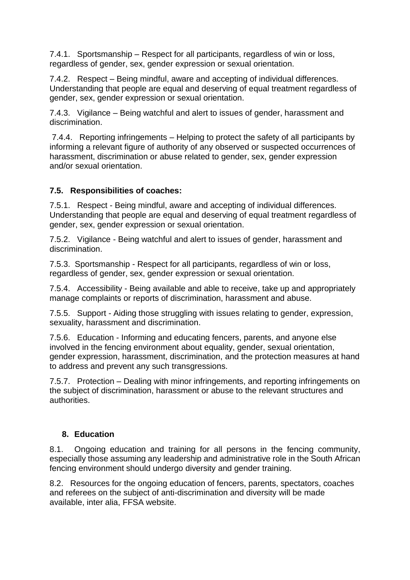7.4.1. Sportsmanship – Respect for all participants, regardless of win or loss, regardless of gender, sex, gender expression or sexual orientation.

7.4.2. Respect – Being mindful, aware and accepting of individual differences. Understanding that people are equal and deserving of equal treatment regardless of gender, sex, gender expression or sexual orientation.

7.4.3. Vigilance – Being watchful and alert to issues of gender, harassment and discrimination.

7.4.4. Reporting infringements – Helping to protect the safety of all participants by informing a relevant figure of authority of any observed or suspected occurrences of harassment, discrimination or abuse related to gender, sex, gender expression and/or sexual orientation.

#### **7.5. Responsibilities of coaches:**

7.5.1. Respect - Being mindful, aware and accepting of individual differences. Understanding that people are equal and deserving of equal treatment regardless of gender, sex, gender expression or sexual orientation.

7.5.2. Vigilance - Being watchful and alert to issues of gender, harassment and discrimination.

7.5.3. Sportsmanship - Respect for all participants, regardless of win or loss, regardless of gender, sex, gender expression or sexual orientation.

7.5.4. Accessibility - Being available and able to receive, take up and appropriately manage complaints or reports of discrimination, harassment and abuse.

7.5.5. Support - Aiding those struggling with issues relating to gender, expression, sexuality, harassment and discrimination.

7.5.6. Education - Informing and educating fencers, parents, and anyone else involved in the fencing environment about equality, gender, sexual orientation, gender expression, harassment, discrimination, and the protection measures at hand to address and prevent any such transgressions.

7.5.7. Protection – Dealing with minor infringements, and reporting infringements on the subject of discrimination, harassment or abuse to the relevant structures and authorities.

#### **8. Education**

8.1. Ongoing education and training for all persons in the fencing community, especially those assuming any leadership and administrative role in the South African fencing environment should undergo diversity and gender training.

8.2. Resources for the ongoing education of fencers, parents, spectators, coaches and referees on the subject of anti-discrimination and diversity will be made available, inter alia, FFSA website.